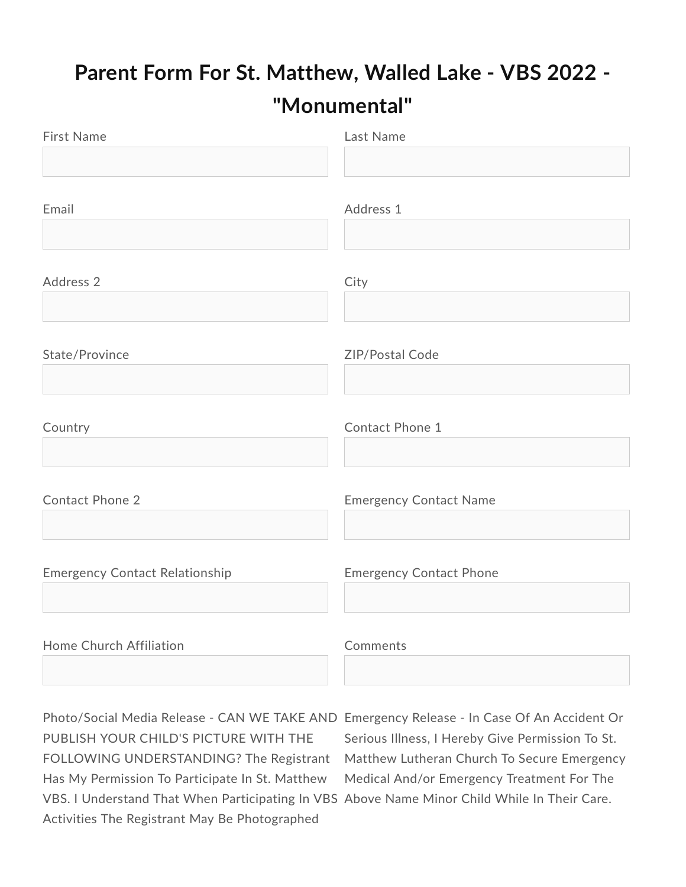## Parent Form For St. Matthew, Walled Lake - VBS 2022 -"Monumental"

| <b>First Name</b>                     | Last Name                      |
|---------------------------------------|--------------------------------|
|                                       |                                |
|                                       |                                |
| Email                                 | Address 1                      |
|                                       |                                |
| Address 2                             | City                           |
|                                       |                                |
| State/Province                        | ZIP/Postal Code                |
|                                       |                                |
| Country                               | Contact Phone 1                |
|                                       |                                |
| <b>Contact Phone 2</b>                | <b>Emergency Contact Name</b>  |
|                                       |                                |
| <b>Emergency Contact Relationship</b> | <b>Emergency Contact Phone</b> |
|                                       |                                |
|                                       |                                |
| Home Church Affiliation               | Comments                       |

Photo/Social Media Release - CAN WE TAKE AND Emergency Release - In Case Of An Accident Or PUBLISH YOUR CHILD'S PICTURE WITH THE FOLLOWING UNDERSTANDING? The Registrant Has My Permission To Participate In St. Matthew VBS. I Understand That When Participating In VBS Above Name Minor Child While In Their Care. Activities The Registrant May Be Photographed

Serious Illness, I Hereby Give Permission To St. Matthew Lutheran Church To Secure Emergency Medical And/or Emergency Treatment For The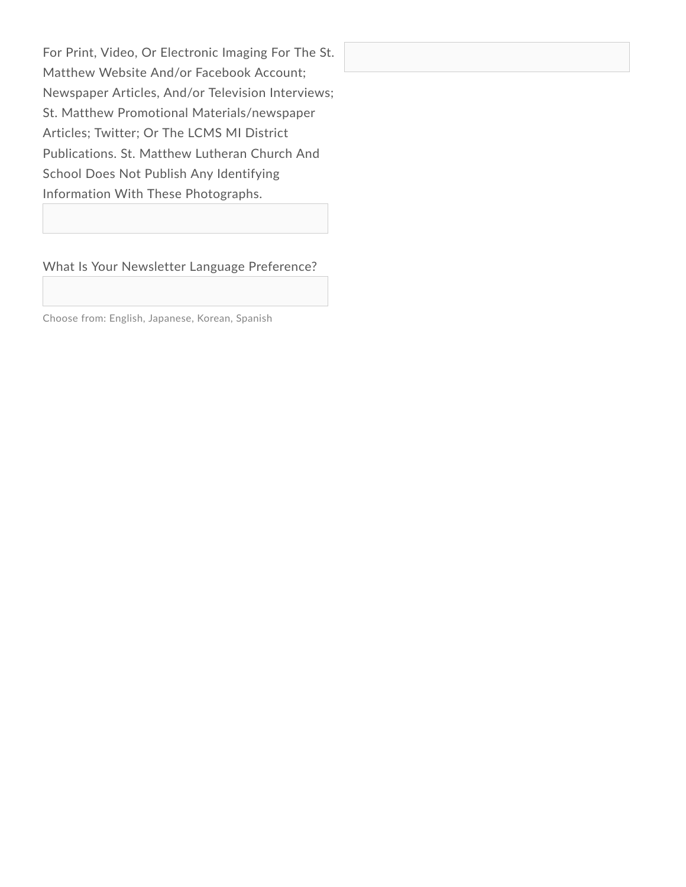For Print, Video, Or Electronic Imaging For The St. Matthew Website And/or Facebook Account; Newspaper Articles, And/or Television Interviews; St. Matthew Promotional Materials/newspaper Articles; Twitter; Or The LCMS MI District Publications. St. Matthew Lutheran Church And School Does Not Publish Any Identifying Information With These Photographs.

What Is Your Newsletter Language Preference?

Choose from: English, Japanese, Korean, Spanish